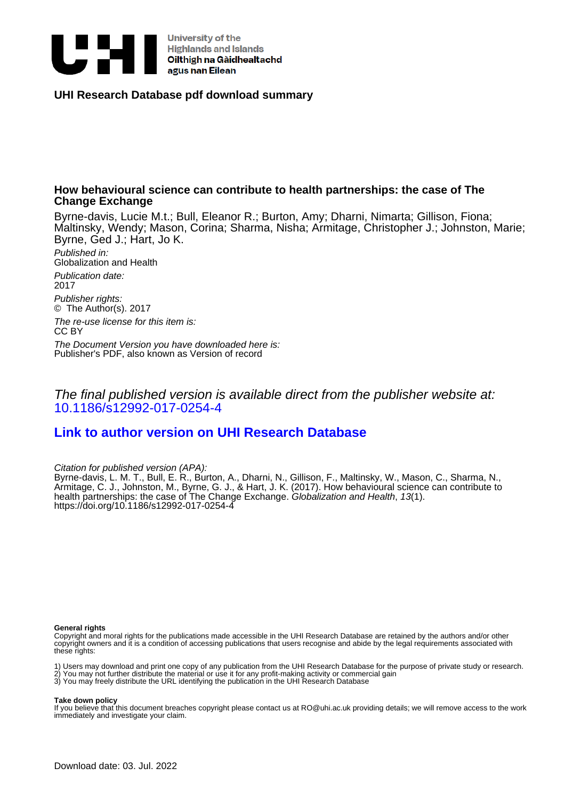

University of the oniversity of the<br>Highlands and Islands<br>Oilthigh na Gàidhealtachd<br>agus nan Eilean

# **UHI Research Database pdf download summary**

# **How behavioural science can contribute to health partnerships: the case of The Change Exchange**

Byrne-davis, Lucie M.t.; Bull, Eleanor R.; Burton, Amy; Dharni, Nimarta; Gillison, Fiona; Maltinsky, Wendy; Mason, Corina; Sharma, Nisha; Armitage, Christopher J.; Johnston, Marie; Byrne, Ged J.; Hart, Jo K.

Published in: Globalization and Health

Publication date: 2017 Publisher rights:

© The Author(s). 2017

The re-use license for this item is: CC BY

The Document Version you have downloaded here is: Publisher's PDF, also known as Version of record

The final published version is available direct from the publisher website at: [10.1186/s12992-017-0254-4](https://doi.org/10.1186/s12992-017-0254-4)

# **[Link to author version on UHI Research Database](https://pure.uhi.ac.uk/en/publications/d7e38e69-71ba-47e7-94e5-a5f3983d8529)**

Citation for published version (APA):

Byrne-davis, L. M. T., Bull, E. R., Burton, A., Dharni, N., Gillison, F., Maltinsky, W., Mason, C., Sharma, N., Armitage, C. J., Johnston, M., Byrne, G. J., & Hart, J. K. (2017). How behavioural science can contribute to health partnerships: the case of The Change Exchange. Globalization and Health, 13(1). <https://doi.org/10.1186/s12992-017-0254-4>

**General rights**

Copyright and moral rights for the publications made accessible in the UHI Research Database are retained by the authors and/or other copyright owners and it is a condition of accessing publications that users recognise and abide by the legal requirements associated with these rights:

1) Users may download and print one copy of any publication from the UHI Research Database for the purpose of private study or research. 2) You may not further distribute the material or use it for any profit-making activity or commercial gain

3) You may freely distribute the URL identifying the publication in the UHI Research Database

#### **Take down policy**

If you believe that this document breaches copyright please contact us at RO@uhi.ac.uk providing details; we will remove access to the work immediately and investigate your claim.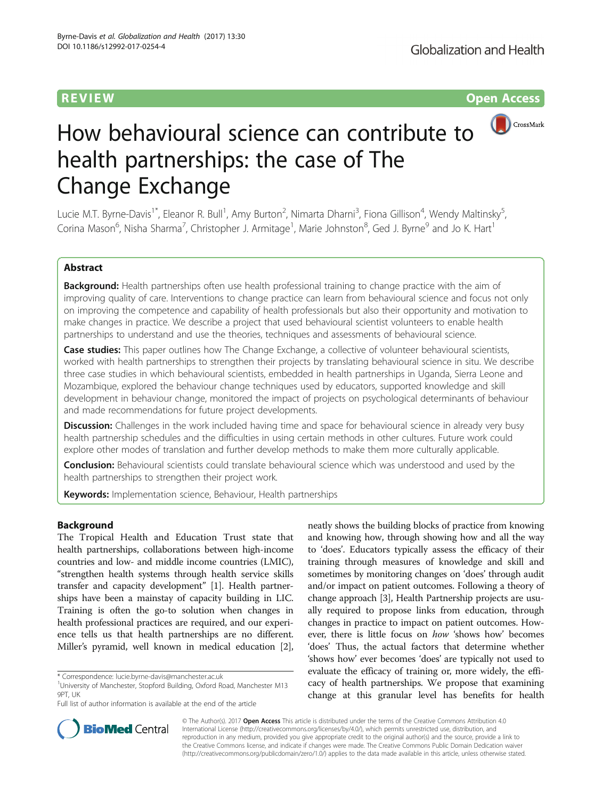**REVIEW CONSIDERING CONSIDERING CONSIDERING CONSIDERING CONSIDERING CONSIDERING CONSIDERING CONSIDERING CONSIDERING CONSIDERING CONSIDERING CONSIDERING CONSIDERING CONSIDERING CONSIDERING CONSIDERING CONSIDERING CONSIDER** 



# How behavioural science can contribute to health partnerships: the case of The Change Exchange

Lucie M.T. Byrne-Davis<sup>1\*</sup>, Eleanor R. Bull<sup>1</sup>, Amy Burton<sup>2</sup>, Nimarta Dharni<sup>3</sup>, Fiona Gillison<sup>4</sup>, Wendy Maltinsky<sup>5</sup> , Corina Mason<sup>6</sup>, Nisha Sharma<sup>7</sup>, Christopher J. Armitage<sup>1</sup>, Marie Johnston<sup>8</sup>, Ged J. Byrne<sup>9</sup> and Jo K. Hart<sup>1</sup>

### Abstract

Background: Health partnerships often use health professional training to change practice with the aim of improving quality of care. Interventions to change practice can learn from behavioural science and focus not only on improving the competence and capability of health professionals but also their opportunity and motivation to make changes in practice. We describe a project that used behavioural scientist volunteers to enable health partnerships to understand and use the theories, techniques and assessments of behavioural science.

Case studies: This paper outlines how The Change Exchange, a collective of volunteer behavioural scientists, worked with health partnerships to strengthen their projects by translating behavioural science in situ. We describe three case studies in which behavioural scientists, embedded in health partnerships in Uganda, Sierra Leone and Mozambique, explored the behaviour change techniques used by educators, supported knowledge and skill development in behaviour change, monitored the impact of projects on psychological determinants of behaviour and made recommendations for future project developments.

Discussion: Challenges in the work included having time and space for behavioural science in already very busy health partnership schedules and the difficulties in using certain methods in other cultures. Future work could explore other modes of translation and further develop methods to make them more culturally applicable.

**Conclusion:** Behavioural scientists could translate behavioural science which was understood and used by the health partnerships to strengthen their project work.

Keywords: Implementation science, Behaviour, Health partnerships

#### Background

The Tropical Health and Education Trust state that health partnerships, collaborations between high-income countries and low- and middle income countries (LMIC), "strengthen health systems through health service skills transfer and capacity development" [[1](#page-7-0)]. Health partnerships have been a mainstay of capacity building in LIC. Training is often the go-to solution when changes in health professional practices are required, and our experience tells us that health partnerships are no different. Miller's pyramid, well known in medical education [[2](#page-7-0)],

neatly shows the building blocks of practice from knowing and knowing how, through showing how and all the way to 'does'. Educators typically assess the efficacy of their training through measures of knowledge and skill and sometimes by monitoring changes on 'does' through audit and/or impact on patient outcomes. Following a theory of change approach [\[3\]](#page-7-0), Health Partnership projects are usually required to propose links from education, through changes in practice to impact on patient outcomes. However, there is little focus on how 'shows how' becomes 'does' Thus, the actual factors that determine whether 'shows how' ever becomes 'does' are typically not used to evaluate the efficacy of training or, more widely, the efficacy of health partnerships. We propose that examining change at this granular level has benefits for health



© The Author(s). 2017 **Open Access** This article is distributed under the terms of the Creative Commons Attribution 4.0 International License [\(http://creativecommons.org/licenses/by/4.0/](http://creativecommons.org/licenses/by/4.0/)), which permits unrestricted use, distribution, and reproduction in any medium, provided you give appropriate credit to the original author(s) and the source, provide a link to the Creative Commons license, and indicate if changes were made. The Creative Commons Public Domain Dedication waiver [\(http://creativecommons.org/publicdomain/zero/1.0/](http://creativecommons.org/publicdomain/zero/1.0/)) applies to the data made available in this article, unless otherwise stated.

<sup>\*</sup> Correspondence: [lucie.byrne-davis@manchester.ac.uk](mailto:lucie.byrne-davis@manchester.ac.uk) <sup>1</sup>

<sup>&</sup>lt;sup>1</sup>University of Manchester, Stopford Building, Oxford Road, Manchester M13 9PT, UK

Full list of author information is available at the end of the article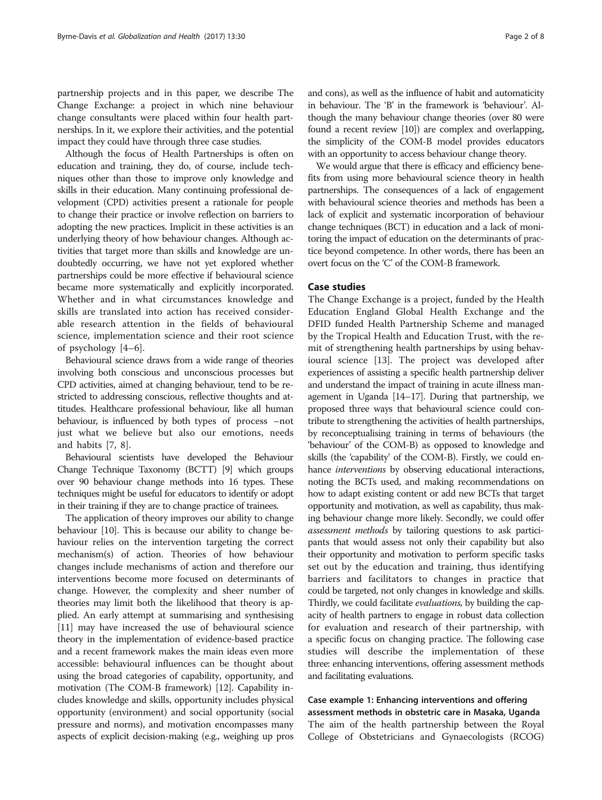partnership projects and in this paper, we describe The Change Exchange: a project in which nine behaviour change consultants were placed within four health partnerships. In it, we explore their activities, and the potential impact they could have through three case studies.

Although the focus of Health Partnerships is often on education and training, they do, of course, include techniques other than those to improve only knowledge and skills in their education. Many continuing professional development (CPD) activities present a rationale for people to change their practice or involve reflection on barriers to adopting the new practices. Implicit in these activities is an underlying theory of how behaviour changes. Although activities that target more than skills and knowledge are undoubtedly occurring, we have not yet explored whether partnerships could be more effective if behavioural science became more systematically and explicitly incorporated. Whether and in what circumstances knowledge and skills are translated into action has received considerable research attention in the fields of behavioural science, implementation science and their root science of psychology [[4](#page-7-0)–[6\]](#page-7-0).

Behavioural science draws from a wide range of theories involving both conscious and unconscious processes but CPD activities, aimed at changing behaviour, tend to be restricted to addressing conscious, reflective thoughts and attitudes. Healthcare professional behaviour, like all human behaviour, is influenced by both types of process –not just what we believe but also our emotions, needs and habits [\[7](#page-7-0), [8](#page-7-0)].

Behavioural scientists have developed the Behaviour Change Technique Taxonomy (BCTT) [[9](#page-7-0)] which groups over 90 behaviour change methods into 16 types. These techniques might be useful for educators to identify or adopt in their training if they are to change practice of trainees.

The application of theory improves our ability to change behaviour [\[10\]](#page-7-0). This is because our ability to change behaviour relies on the intervention targeting the correct mechanism(s) of action. Theories of how behaviour changes include mechanisms of action and therefore our interventions become more focused on determinants of change. However, the complexity and sheer number of theories may limit both the likelihood that theory is applied. An early attempt at summarising and synthesising [[11](#page-7-0)] may have increased the use of behavioural science theory in the implementation of evidence-based practice and a recent framework makes the main ideas even more accessible: behavioural influences can be thought about using the broad categories of capability, opportunity, and motivation (The COM-B framework) [\[12](#page-7-0)]. Capability includes knowledge and skills, opportunity includes physical opportunity (environment) and social opportunity (social pressure and norms), and motivation encompasses many aspects of explicit decision-making (e.g., weighing up pros and cons), as well as the influence of habit and automaticity in behaviour. The 'B' in the framework is 'behaviour'. Although the many behaviour change theories (over 80 were found a recent review [\[10](#page-7-0)]) are complex and overlapping, the simplicity of the COM-B model provides educators with an opportunity to access behaviour change theory.

We would argue that there is efficacy and efficiency benefits from using more behavioural science theory in health partnerships. The consequences of a lack of engagement with behavioural science theories and methods has been a lack of explicit and systematic incorporation of behaviour change techniques (BCT) in education and a lack of monitoring the impact of education on the determinants of practice beyond competence. In other words, there has been an overt focus on the 'C' of the COM-B framework.

#### Case studies

The Change Exchange is a project, funded by the Health Education England Global Health Exchange and the DFID funded Health Partnership Scheme and managed by the Tropical Health and Education Trust, with the remit of strengthening health partnerships by using behavioural science [\[13](#page-7-0)]. The project was developed after experiences of assisting a specific health partnership deliver and understand the impact of training in acute illness management in Uganda [\[14](#page-7-0)–[17\]](#page-7-0). During that partnership, we proposed three ways that behavioural science could contribute to strengthening the activities of health partnerships, by reconceptualising training in terms of behaviours (the 'behaviour' of the COM-B) as opposed to knowledge and skills (the 'capability' of the COM-B). Firstly, we could enhance interventions by observing educational interactions, noting the BCTs used, and making recommendations on how to adapt existing content or add new BCTs that target opportunity and motivation, as well as capability, thus making behaviour change more likely. Secondly, we could offer assessment methods by tailoring questions to ask participants that would assess not only their capability but also their opportunity and motivation to perform specific tasks set out by the education and training, thus identifying barriers and facilitators to changes in practice that could be targeted, not only changes in knowledge and skills. Thirdly, we could facilitate *evaluations*, by building the capacity of health partners to engage in robust data collection for evaluation and research of their partnership, with a specific focus on changing practice. The following case studies will describe the implementation of these three: enhancing interventions, offering assessment methods and facilitating evaluations.

#### Case example 1: Enhancing interventions and offering

assessment methods in obstetric care in Masaka, Uganda The aim of the health partnership between the Royal College of Obstetricians and Gynaecologists (RCOG)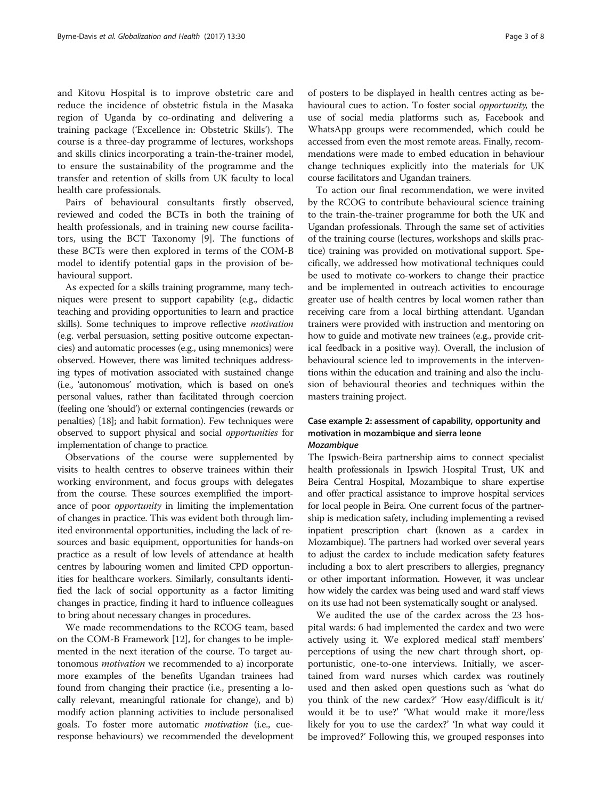and Kitovu Hospital is to improve obstetric care and reduce the incidence of obstetric fistula in the Masaka region of Uganda by co-ordinating and delivering a training package ('Excellence in: Obstetric Skills'). The course is a three-day programme of lectures, workshops and skills clinics incorporating a train-the-trainer model, to ensure the sustainability of the programme and the transfer and retention of skills from UK faculty to local health care professionals.

Pairs of behavioural consultants firstly observed, reviewed and coded the BCTs in both the training of health professionals, and in training new course facilitators, using the BCT Taxonomy [\[9\]](#page-7-0). The functions of these BCTs were then explored in terms of the COM-B model to identify potential gaps in the provision of behavioural support.

As expected for a skills training programme, many techniques were present to support capability (e.g., didactic teaching and providing opportunities to learn and practice skills). Some techniques to improve reflective motivation (e.g. verbal persuasion, setting positive outcome expectancies) and automatic processes (e.g., using mnemonics) were observed. However, there was limited techniques addressing types of motivation associated with sustained change (i.e., 'autonomous' motivation, which is based on one's personal values, rather than facilitated through coercion (feeling one 'should') or external contingencies (rewards or penalties) [[18](#page-7-0)]; and habit formation). Few techniques were observed to support physical and social opportunities for implementation of change to practice.

Observations of the course were supplemented by visits to health centres to observe trainees within their working environment, and focus groups with delegates from the course. These sources exemplified the importance of poor opportunity in limiting the implementation of changes in practice. This was evident both through limited environmental opportunities, including the lack of resources and basic equipment, opportunities for hands-on practice as a result of low levels of attendance at health centres by labouring women and limited CPD opportunities for healthcare workers. Similarly, consultants identified the lack of social opportunity as a factor limiting changes in practice, finding it hard to influence colleagues to bring about necessary changes in procedures.

We made recommendations to the RCOG team, based on the COM-B Framework [\[12\]](#page-7-0), for changes to be implemented in the next iteration of the course. To target autonomous motivation we recommended to a) incorporate more examples of the benefits Ugandan trainees had found from changing their practice (i.e., presenting a locally relevant, meaningful rationale for change), and b) modify action planning activities to include personalised goals. To foster more automatic motivation (i.e., cueresponse behaviours) we recommended the development

of posters to be displayed in health centres acting as behavioural cues to action. To foster social opportunity, the use of social media platforms such as, Facebook and WhatsApp groups were recommended, which could be accessed from even the most remote areas. Finally, recommendations were made to embed education in behaviour change techniques explicitly into the materials for UK course facilitators and Ugandan trainers.

To action our final recommendation, we were invited by the RCOG to contribute behavioural science training to the train-the-trainer programme for both the UK and Ugandan professionals. Through the same set of activities of the training course (lectures, workshops and skills practice) training was provided on motivational support. Specifically, we addressed how motivational techniques could be used to motivate co-workers to change their practice and be implemented in outreach activities to encourage greater use of health centres by local women rather than receiving care from a local birthing attendant. Ugandan trainers were provided with instruction and mentoring on how to guide and motivate new trainees (e.g., provide critical feedback in a positive way). Overall, the inclusion of behavioural science led to improvements in the interventions within the education and training and also the inclusion of behavioural theories and techniques within the masters training project.

#### Case example 2: assessment of capability, opportunity and motivation in mozambique and sierra leone Mozambique

The Ipswich-Beira partnership aims to connect specialist health professionals in Ipswich Hospital Trust, UK and Beira Central Hospital, Mozambique to share expertise and offer practical assistance to improve hospital services for local people in Beira. One current focus of the partnership is medication safety, including implementing a revised inpatient prescription chart (known as a cardex in Mozambique). The partners had worked over several years to adjust the cardex to include medication safety features including a box to alert prescribers to allergies, pregnancy or other important information. However, it was unclear how widely the cardex was being used and ward staff views on its use had not been systematically sought or analysed.

We audited the use of the cardex across the 23 hospital wards: 6 had implemented the cardex and two were actively using it. We explored medical staff members' perceptions of using the new chart through short, opportunistic, one-to-one interviews. Initially, we ascertained from ward nurses which cardex was routinely used and then asked open questions such as 'what do you think of the new cardex?' 'How easy/difficult is it/ would it be to use?' 'What would make it more/less likely for you to use the cardex?' 'In what way could it be improved?' Following this, we grouped responses into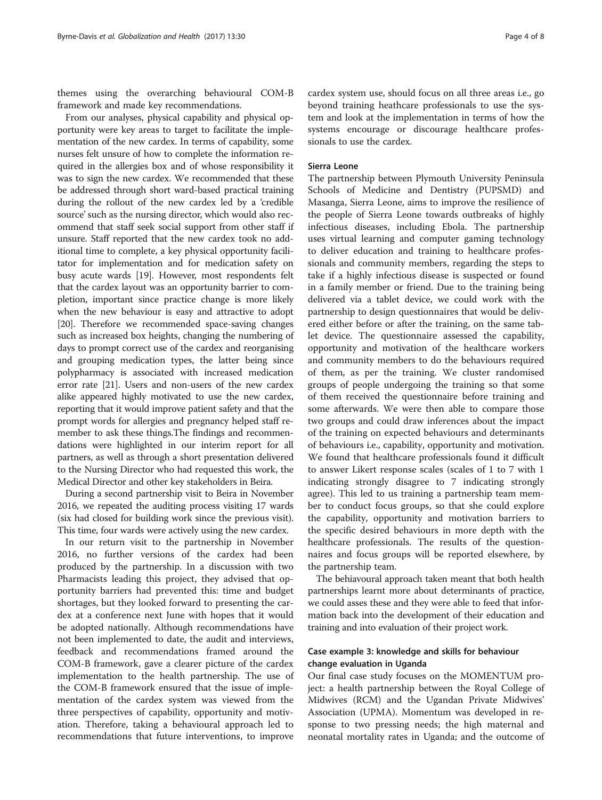themes using the overarching behavioural COM-B framework and made key recommendations.

From our analyses, physical capability and physical opportunity were key areas to target to facilitate the implementation of the new cardex. In terms of capability, some nurses felt unsure of how to complete the information required in the allergies box and of whose responsibility it was to sign the new cardex. We recommended that these be addressed through short ward-based practical training during the rollout of the new cardex led by a 'credible source' such as the nursing director, which would also recommend that staff seek social support from other staff if unsure. Staff reported that the new cardex took no additional time to complete, a key physical opportunity facilitator for implementation and for medication safety on busy acute wards [\[19](#page-7-0)]. However, most respondents felt that the cardex layout was an opportunity barrier to completion, important since practice change is more likely when the new behaviour is easy and attractive to adopt [[20](#page-7-0)]. Therefore we recommended space-saving changes such as increased box heights, changing the numbering of days to prompt correct use of the cardex and reorganising and grouping medication types, the latter being since polypharmacy is associated with increased medication error rate [\[21\]](#page-7-0). Users and non-users of the new cardex alike appeared highly motivated to use the new cardex, reporting that it would improve patient safety and that the prompt words for allergies and pregnancy helped staff remember to ask these things.The findings and recommendations were highlighted in our interim report for all partners, as well as through a short presentation delivered to the Nursing Director who had requested this work, the Medical Director and other key stakeholders in Beira.

During a second partnership visit to Beira in November 2016, we repeated the auditing process visiting 17 wards (six had closed for building work since the previous visit). This time, four wards were actively using the new cardex.

In our return visit to the partnership in November 2016, no further versions of the cardex had been produced by the partnership. In a discussion with two Pharmacists leading this project, they advised that opportunity barriers had prevented this: time and budget shortages, but they looked forward to presenting the cardex at a conference next June with hopes that it would be adopted nationally. Although recommendations have not been implemented to date, the audit and interviews, feedback and recommendations framed around the COM-B framework, gave a clearer picture of the cardex implementation to the health partnership. The use of the COM-B framework ensured that the issue of implementation of the cardex system was viewed from the three perspectives of capability, opportunity and motivation. Therefore, taking a behavioural approach led to recommendations that future interventions, to improve

cardex system use, should focus on all three areas i.e., go beyond training heathcare professionals to use the system and look at the implementation in terms of how the systems encourage or discourage healthcare professionals to use the cardex.

#### Sierra Leone

The partnership between Plymouth University Peninsula Schools of Medicine and Dentistry (PUPSMD) and Masanga, Sierra Leone, aims to improve the resilience of the people of Sierra Leone towards outbreaks of highly infectious diseases, including Ebola. The partnership uses virtual learning and computer gaming technology to deliver education and training to healthcare professionals and community members, regarding the steps to take if a highly infectious disease is suspected or found in a family member or friend. Due to the training being delivered via a tablet device, we could work with the partnership to design questionnaires that would be delivered either before or after the training, on the same tablet device. The questionnaire assessed the capability, opportunity and motivation of the healthcare workers and community members to do the behaviours required of them, as per the training. We cluster randomised groups of people undergoing the training so that some of them received the questionnaire before training and some afterwards. We were then able to compare those two groups and could draw inferences about the impact of the training on expected behaviours and determinants of behaviours i.e., capability, opportunity and motivation. We found that healthcare professionals found it difficult to answer Likert response scales (scales of 1 to 7 with 1 indicating strongly disagree to 7 indicating strongly agree). This led to us training a partnership team member to conduct focus groups, so that she could explore the capability, opportunity and motivation barriers to the specific desired behaviours in more depth with the healthcare professionals. The results of the questionnaires and focus groups will be reported elsewhere, by the partnership team.

The behiavoural approach taken meant that both health partnerships learnt more about determinants of practice, we could asses these and they were able to feed that information back into the development of their education and training and into evaluation of their project work.

#### Case example 3: knowledge and skills for behaviour change evaluation in Uganda

Our final case study focuses on the MOMENTUM project: a health partnership between the Royal College of Midwives (RCM) and the Ugandan Private Midwives' Association (UPMA). Momentum was developed in response to two pressing needs; the high maternal and neonatal mortality rates in Uganda; and the outcome of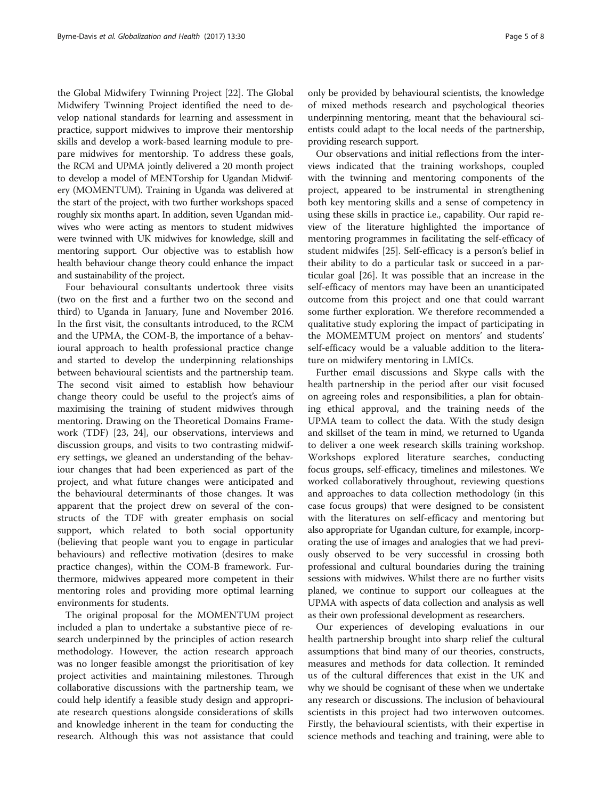the Global Midwifery Twinning Project [[22\]](#page-7-0). The Global Midwifery Twinning Project identified the need to develop national standards for learning and assessment in practice, support midwives to improve their mentorship skills and develop a work-based learning module to prepare midwives for mentorship. To address these goals, the RCM and UPMA jointly delivered a 20 month project to develop a model of MENTorship for Ugandan Midwifery (MOMENTUM). Training in Uganda was delivered at the start of the project, with two further workshops spaced roughly six months apart. In addition, seven Ugandan midwives who were acting as mentors to student midwives were twinned with UK midwives for knowledge, skill and mentoring support. Our objective was to establish how health behaviour change theory could enhance the impact and sustainability of the project.

Four behavioural consultants undertook three visits (two on the first and a further two on the second and third) to Uganda in January, June and November 2016. In the first visit, the consultants introduced, to the RCM and the UPMA, the COM-B, the importance of a behavioural approach to health professional practice change and started to develop the underpinning relationships between behavioural scientists and the partnership team. The second visit aimed to establish how behaviour change theory could be useful to the project's aims of maximising the training of student midwives through mentoring. Drawing on the Theoretical Domains Framework (TDF) [\[23](#page-8-0), [24\]](#page-8-0), our observations, interviews and discussion groups, and visits to two contrasting midwifery settings, we gleaned an understanding of the behaviour changes that had been experienced as part of the project, and what future changes were anticipated and the behavioural determinants of those changes. It was apparent that the project drew on several of the constructs of the TDF with greater emphasis on social support, which related to both social opportunity (believing that people want you to engage in particular behaviours) and reflective motivation (desires to make practice changes), within the COM-B framework. Furthermore, midwives appeared more competent in their mentoring roles and providing more optimal learning environments for students.

The original proposal for the MOMENTUM project included a plan to undertake a substantive piece of research underpinned by the principles of action research methodology. However, the action research approach was no longer feasible amongst the prioritisation of key project activities and maintaining milestones. Through collaborative discussions with the partnership team, we could help identify a feasible study design and appropriate research questions alongside considerations of skills and knowledge inherent in the team for conducting the research. Although this was not assistance that could only be provided by behavioural scientists, the knowledge of mixed methods research and psychological theories underpinning mentoring, meant that the behavioural scientists could adapt to the local needs of the partnership, providing research support.

Our observations and initial reflections from the interviews indicated that the training workshops, coupled with the twinning and mentoring components of the project, appeared to be instrumental in strengthening both key mentoring skills and a sense of competency in using these skills in practice i.e., capability. Our rapid review of the literature highlighted the importance of mentoring programmes in facilitating the self-efficacy of student midwifes [\[25](#page-8-0)]. Self-efficacy is a person's belief in their ability to do a particular task or succeed in a particular goal [\[26](#page-8-0)]. It was possible that an increase in the self-efficacy of mentors may have been an unanticipated outcome from this project and one that could warrant some further exploration. We therefore recommended a qualitative study exploring the impact of participating in the MOMEMTUM project on mentors' and students' self-efficacy would be a valuable addition to the literature on midwifery mentoring in LMICs.

Further email discussions and Skype calls with the health partnership in the period after our visit focused on agreeing roles and responsibilities, a plan for obtaining ethical approval, and the training needs of the UPMA team to collect the data. With the study design and skillset of the team in mind, we returned to Uganda to deliver a one week research skills training workshop. Workshops explored literature searches, conducting focus groups, self-efficacy, timelines and milestones. We worked collaboratively throughout, reviewing questions and approaches to data collection methodology (in this case focus groups) that were designed to be consistent with the literatures on self-efficacy and mentoring but also appropriate for Ugandan culture, for example, incorporating the use of images and analogies that we had previously observed to be very successful in crossing both professional and cultural boundaries during the training sessions with midwives. Whilst there are no further visits planed, we continue to support our colleagues at the UPMA with aspects of data collection and analysis as well as their own professional development as researchers.

Our experiences of developing evaluations in our health partnership brought into sharp relief the cultural assumptions that bind many of our theories, constructs, measures and methods for data collection. It reminded us of the cultural differences that exist in the UK and why we should be cognisant of these when we undertake any research or discussions. The inclusion of behavioural scientists in this project had two interwoven outcomes. Firstly, the behavioural scientists, with their expertise in science methods and teaching and training, were able to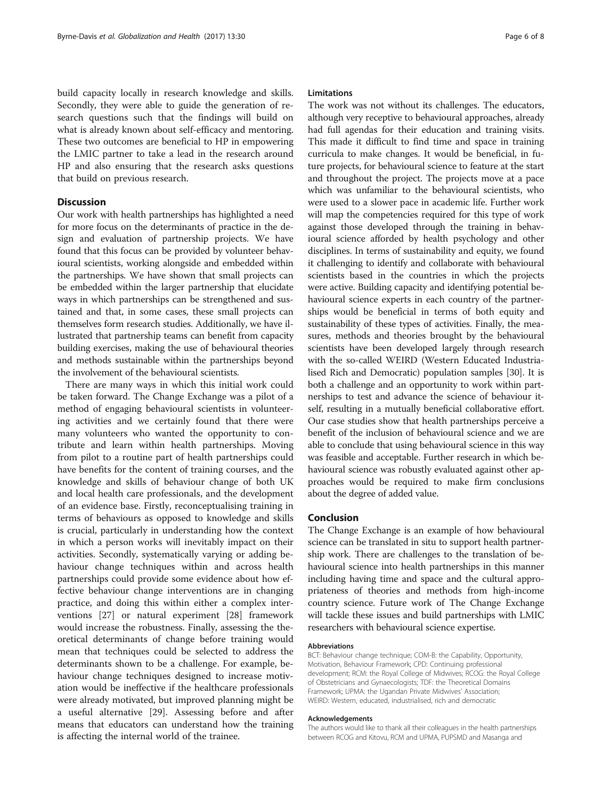build capacity locally in research knowledge and skills. Secondly, they were able to guide the generation of research questions such that the findings will build on what is already known about self-efficacy and mentoring. These two outcomes are beneficial to HP in empowering the LMIC partner to take a lead in the research around HP and also ensuring that the research asks questions that build on previous research.

#### **Discussion**

Our work with health partnerships has highlighted a need for more focus on the determinants of practice in the design and evaluation of partnership projects. We have found that this focus can be provided by volunteer behavioural scientists, working alongside and embedded within the partnerships. We have shown that small projects can be embedded within the larger partnership that elucidate ways in which partnerships can be strengthened and sustained and that, in some cases, these small projects can themselves form research studies. Additionally, we have illustrated that partnership teams can benefit from capacity building exercises, making the use of behavioural theories and methods sustainable within the partnerships beyond the involvement of the behavioural scientists.

There are many ways in which this initial work could be taken forward. The Change Exchange was a pilot of a method of engaging behavioural scientists in volunteering activities and we certainly found that there were many volunteers who wanted the opportunity to contribute and learn within health partnerships. Moving from pilot to a routine part of health partnerships could have benefits for the content of training courses, and the knowledge and skills of behaviour change of both UK and local health care professionals, and the development of an evidence base. Firstly, reconceptualising training in terms of behaviours as opposed to knowledge and skills is crucial, particularly in understanding how the context in which a person works will inevitably impact on their activities. Secondly, systematically varying or adding behaviour change techniques within and across health partnerships could provide some evidence about how effective behaviour change interventions are in changing practice, and doing this within either a complex interventions [[27\]](#page-8-0) or natural experiment [[28\]](#page-8-0) framework would increase the robustness. Finally, assessing the theoretical determinants of change before training would mean that techniques could be selected to address the determinants shown to be a challenge. For example, behaviour change techniques designed to increase motivation would be ineffective if the healthcare professionals were already motivated, but improved planning might be a useful alternative [[29\]](#page-8-0). Assessing before and after means that educators can understand how the training is affecting the internal world of the trainee.

#### Limitations

The work was not without its challenges. The educators, although very receptive to behavioural approaches, already had full agendas for their education and training visits. This made it difficult to find time and space in training curricula to make changes. It would be beneficial, in future projects, for behavioural science to feature at the start and throughout the project. The projects move at a pace which was unfamiliar to the behavioural scientists, who were used to a slower pace in academic life. Further work will map the competencies required for this type of work against those developed through the training in behavioural science afforded by health psychology and other disciplines. In terms of sustainability and equity, we found it challenging to identify and collaborate with behavioural scientists based in the countries in which the projects were active. Building capacity and identifying potential behavioural science experts in each country of the partnerships would be beneficial in terms of both equity and sustainability of these types of activities. Finally, the measures, methods and theories brought by the behavioural scientists have been developed largely through research with the so-called WEIRD (Western Educated Industrialised Rich and Democratic) population samples [\[30\]](#page-8-0). It is both a challenge and an opportunity to work within partnerships to test and advance the science of behaviour itself, resulting in a mutually beneficial collaborative effort. Our case studies show that health partnerships perceive a benefit of the inclusion of behavioural science and we are able to conclude that using behavioural science in this way was feasible and acceptable. Further research in which behavioural science was robustly evaluated against other approaches would be required to make firm conclusions about the degree of added value.

#### Conclusion

The Change Exchange is an example of how behavioural science can be translated in situ to support health partnership work. There are challenges to the translation of behavioural science into health partnerships in this manner including having time and space and the cultural appropriateness of theories and methods from high-income country science. Future work of The Change Exchange will tackle these issues and build partnerships with LMIC researchers with behavioural science expertise.

#### Abbreviations

BCT: Behaviour change technique; COM-B: the Capability, Opportunity, Motivation, Behaviour Framework; CPD: Continuing professional development; RCM: the Royal College of Midwives; RCOG: the Royal College of Obstetricians and Gynaecologists; TDF: the Theoretical Domains Framework; UPMA: the Ugandan Private Midwives' Association; WEIRD: Western, educated, industrialised, rich and democratic

#### Acknowledgements

The authors would like to thank all their colleagues in the health partnerships between RCOG and Kitovu, RCM and UPMA, PUPSMD and Masanga and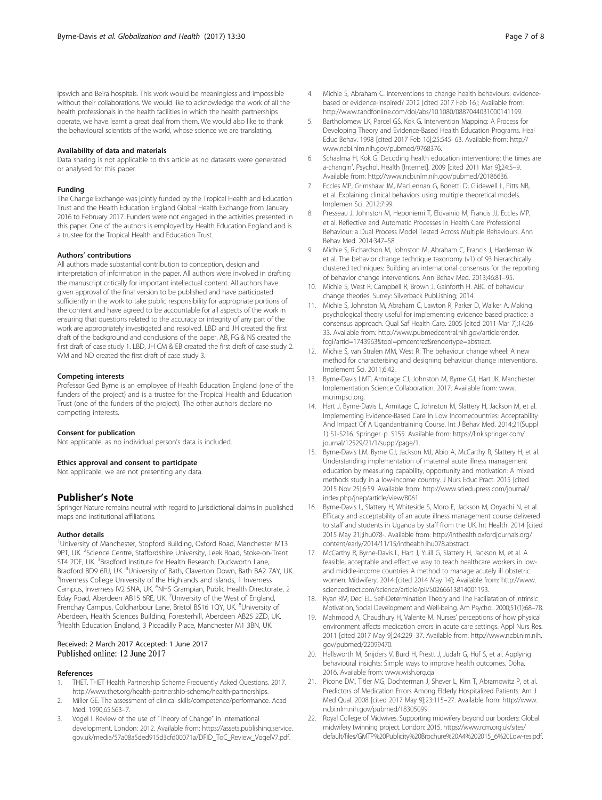<span id="page-7-0"></span>Ipswich and Beira hospitals. This work would be meaningless and impossible without their collaborations. We would like to acknowledge the work of all the health professionals in the health facilities in which the health partnerships operate, we have learnt a great deal from them. We would also like to thank the behavioural scientists of the world, whose science we are translating.

#### Availability of data and materials

Data sharing is not applicable to this article as no datasets were generated or analysed for this paper.

#### Funding

The Change Exchange was jointly funded by the Tropical Health and Education Trust and the Health Education England Global Health Exchange from January 2016 to February 2017. Funders were not engaged in the activities presented in this paper. One of the authors is employed by Health Education England and is a trustee for the Tropical Health and Education Trust.

#### Authors' contributions

All authors made substantial contribution to conception, design and interpretation of information in the paper. All authors were involved in drafting the manuscript critically for important intellectual content. All authors have given approval of the final version to be published and have participated sufficiently in the work to take public responsibility for appropriate portions of the content and have agreed to be accountable for all aspects of the work in ensuring that questions related to the accuracy or integrity of any part of the work are appropriately investigated and resolved. LBD and JH created the first draft of the background and conclusions of the paper. AB, FG & NS created the first draft of case study 1. LBD, JH CM & EB created the first draft of case study 2. WM and ND created the first draft of case study 3.

#### Competing interests

Professor Ged Byrne is an employee of Health Education England (one of the funders of the project) and is a trustee for the Tropical Health and Education Trust (one of the funders of the project). The other authors declare no competing interests.

#### Consent for publication

Not applicable, as no individual person's data is included.

#### Ethics approval and consent to participate

Not applicable, we are not presenting any data.

#### Publisher's Note

Springer Nature remains neutral with regard to jurisdictional claims in published maps and institutional affiliations.

#### Author details

<sup>1</sup>University of Manchester, Stopford Building, Oxford Road, Manchester M13 9PT, UK. <sup>2</sup>Science Centre, Staffordshire University, Leek Road, Stoke-on-Trent ST4 2DF, UK. <sup>3</sup>Bradford Institute for Health Research, Duckworth Lane, Bradford BD9 6RJ, UK. <sup>4</sup>University of Bath, Claverton Down, Bath BA2 7AY, UK.<br><sup>5</sup>Invernoss Colloge University of the Highlands and Islands. 1 Invernoss <sup>5</sup> Inverness College University of the Highlands and Islands, 1 Inverness Campus, Inverness IV2 5NA, UK. <sup>6</sup>NHS Grampian, Public Health Directorate, 2 Eday Road, Aberdeen AB15 6RE, UK. <sup>7</sup>University of the West of England, Frenchay Campus, Coldharbour Lane, Bristol BS16 1QY, UK. <sup>8</sup>University of Aberdeen, Health Sciences Building, Foresterhill, Aberdeen AB25 2ZD, UK. <sup>9</sup> Health Education England, 3 Piccadilly Place, Manchester M1 3BN, UK.

#### Received: 2 March 2017 Accepted: 1 June 2017 Published online: 12 June 2017

#### References

- 1. THET. THET Health Partnership Scheme Frequently Asked Questions. 2017. [http://www.thet.org/health-partnership-scheme/health-partnerships.](http://www.thet.org/health-partnership-scheme/health-partnerships)
- 2. Miller GE. The assessment of clinical skills/competence/performance. Acad Med. 1990;65:S63–7.
- Vogel I. Review of the use of "Theory of Change" in international development. London: 2012. Available from: [https://assets.publishing.service.](https://assets.publishing.service.gov.uk/media/57a08a5ded915d3cfd00071a/DFID_ToC_Review_VogelV7.pdf) [gov.uk/media/57a08a5ded915d3cfd00071a/DFID\\_ToC\\_Review\\_VogelV7.pdf](https://assets.publishing.service.gov.uk/media/57a08a5ded915d3cfd00071a/DFID_ToC_Review_VogelV7.pdf).
- 4. Michie S, Abraham C. Interventions to change health behaviours: evidencebased or evidence-inspired? 2012 [cited 2017 Feb 16]; Available from: [http://www.tandfonline.com/doi/abs/10.1080/0887044031000141199.](http://www.tandfonline.com/doi/abs/10.1080/0887044031000141199)
- 5. Bartholomew LK, Parcel GS, Kok G. Intervention Mapping: A Process for Developing Theory and Evidence-Based Health Education Programs. Heal Educ Behav. 1998 [cited 2017 Feb 16];25:545–63. Available from: [http://](http://www.ncbi.nlm.nih.gov/pubmed/9768376) [www.ncbi.nlm.nih.gov/pubmed/9768376](http://www.ncbi.nlm.nih.gov/pubmed/9768376).
- 6. Schaalma H, Kok G. Decoding health education interventions: the times are a-changin'. Psychol. Health [Internet]. 2009 [cited 2011 Mar 9];24:5–9. Available from:<http://www.ncbi.nlm.nih.gov/pubmed/20186636>.
- 7. Eccles MP, Grimshaw JM, MacLennan G, Bonetti D, Glidewell L, Pitts NB, et al. Explaining clinical behaviors using multiple theoretical models. Implemen Sci. 2012;7:99.
- 8. Presseau J, Johnston M, Heponiemi T, Elovainio M, Francis JJ, Eccles MP, et al. Reflective and Automatic Processes in Health Care Professional Behaviour: a Dual Process Model Tested Across Multiple Behaviours. Ann Behav Med. 2014:347–58.
- 9. Michie S, Richardson M, Johnston M, Abraham C, Francis J, Hardeman W, et al. The behavior change technique taxonomy (v1) of 93 hierarchically clustered techniques: Building an international consensus for the reporting of behavior change interventions. Ann Behav Med. 2013;46:81–95.
- 10. Michie S, West R, Campbell R, Brown J, Gainforth H. ABC of behaviour change theories. Surrey: Silverback PubLishing; 2014.
- 11. Michie S, Johnston M, Abraham C, Lawton R, Parker D, Walker A. Making psychological theory useful for implementing evidence based practice: a consensus approach. Qual Saf Health Care. 2005 [cited 2011 Mar 7];14:26– 33. Available from: [http://www.pubmedcentral.nih.gov/articlerender.](http://www.pubmedcentral.nih.gov/articlerender.fcgi?artid=1743963&tool=pmcentrez&rendertype=abstract) [fcgi?artid=1743963&tool=pmcentrez&rendertype=abstract.](http://www.pubmedcentral.nih.gov/articlerender.fcgi?artid=1743963&tool=pmcentrez&rendertype=abstract)
- 12. Michie S, van Stralen MM, West R. The behaviour change wheel: A new method for characterising and designing behaviour change interventions. Implement Sci. 2011;6:42.
- 13. Byrne-Davis LMT, Armitage CJ, Johnston M, Byrne GJ, Hart JK. Manchester Implementation Science Collaboration. 2017. Available from: [www.](http://www.mcrimpsci.org/) [mcrimpsci.org.](http://www.mcrimpsci.org/)
- 14. Hart J, Byrne-Davis L, Armitage C, Johnston M, Slattery H, Jackson M, et al. Implementing Evidence-Based Care In Low Incomecountries: Acceptability And Impact Of A Ugandantraining Course. Int J Behav Med. 2014;21(Suppl 1) S1-S216. Springer. p. S155. Available from: [https://link.springer.com/](https://link.springer.com/journal/12529/21/1/suppl/page/1) [journal/12529/21/1/suppl/page/1](https://link.springer.com/journal/12529/21/1/suppl/page/1).
- 15. Byrne-Davis LM, Byrne GJ, Jackson MJ, Abio A, McCarthy R, Slattery H, et al. Understanding implementation of maternal acute illness management education by measuring capability, opportunity and motivation: A mixed methods study in a low-income country. J Nurs Educ Pract. 2015 [cited 2015 Nov 25];6:59. Available from: [http://www.sciedupress.com/journal/](http://www.sciedupress.com/journal/index.php/jnep/article/view/8061) [index.php/jnep/article/view/8061](http://www.sciedupress.com/journal/index.php/jnep/article/view/8061).
- 16. Byrne-Davis L, Slattery H, Whiteside S, Moro E, Jackson M, Onyachi N, et al. Efficacy and acceptability of an acute illness management course delivered to staff and students in Uganda by staff from the UK. Int Health. 2014 [cited 2015 May 21];ihu078-. Available from: [http://inthealth.oxfordjournals.org/](http://inthealth.oxfordjournals.org/content/early/2014/11/15/inthealth.ihu078.abstract) [content/early/2014/11/15/inthealth.ihu078.abstract.](http://inthealth.oxfordjournals.org/content/early/2014/11/15/inthealth.ihu078.abstract)
- 17. McCarthy R, Byrne-Davis L, Hart J, Yuill G, Slattery H, Jackson M, et al. A feasible, acceptable and effective way to teach healthcare workers in lowand middle-income countries A method to manage acutely ill obstetric women. Midwifery. 2014 [cited 2014 May 14]; Available from: [http://www.](http://www.sciencedirect.com/science/article/pii/S0266613814001193) [sciencedirect.com/science/article/pii/S0266613814001193.](http://www.sciencedirect.com/science/article/pii/S0266613814001193)
- 18. Ryan RM, Deci EL. Self-Determination Theory and The Faciliatation of Intrinsic Motivation, Social Development and Well-being. Am Psychol. 2000;51(1):68–78.
- 19. Mahmood A, Chaudhury H, Valente M. Nurses' perceptions of how physical environment affects medication errors in acute care settings. Appl Nurs Res. 2011 [cited 2017 May 9];24:229–37. Available from: [http://www.ncbi.nlm.nih.](http://www.ncbi.nlm.nih.gov/pubmed/22099470) [gov/pubmed/22099470](http://www.ncbi.nlm.nih.gov/pubmed/22099470).
- 20. Hallsworth M, Snijders V, Burd H, Prestt J, Judah G, Huf S, et al. Applying behavioural insights: Simple ways to improve health outcomes. Doha. 2016. Available from: [www.wish.org.qa](http://www.wish.org.qa)
- 21. Picone DM, Titler MG, Dochterman J, Shever L, Kim T, Abramowitz P, et al. Predictors of Medication Errors Among Elderly Hospitalized Patients. Am J Med Qual. 2008 [cited 2017 May 9];23:115–27. Available from: [http://www.](http://www.ncbi.nlm.nih.gov/pubmed/18305099) [ncbi.nlm.nih.gov/pubmed/18305099](http://www.ncbi.nlm.nih.gov/pubmed/18305099).
- 22. Royal College of Midwives. Supporting midwifery beyond our borders: Global midwifery twinning project. London: 2015. [https://www.rcm.org.uk/sites/](https://www.rcm.org.uk/sites/default/files/GMTP%20Publicity%20Brochure%20A4%202015_6%20Low-res.pdf) [default/files/GMTP%20Publicity%20Brochure%20A4%202015\\_6%20Low-res.pdf](https://www.rcm.org.uk/sites/default/files/GMTP%20Publicity%20Brochure%20A4%202015_6%20Low-res.pdf).